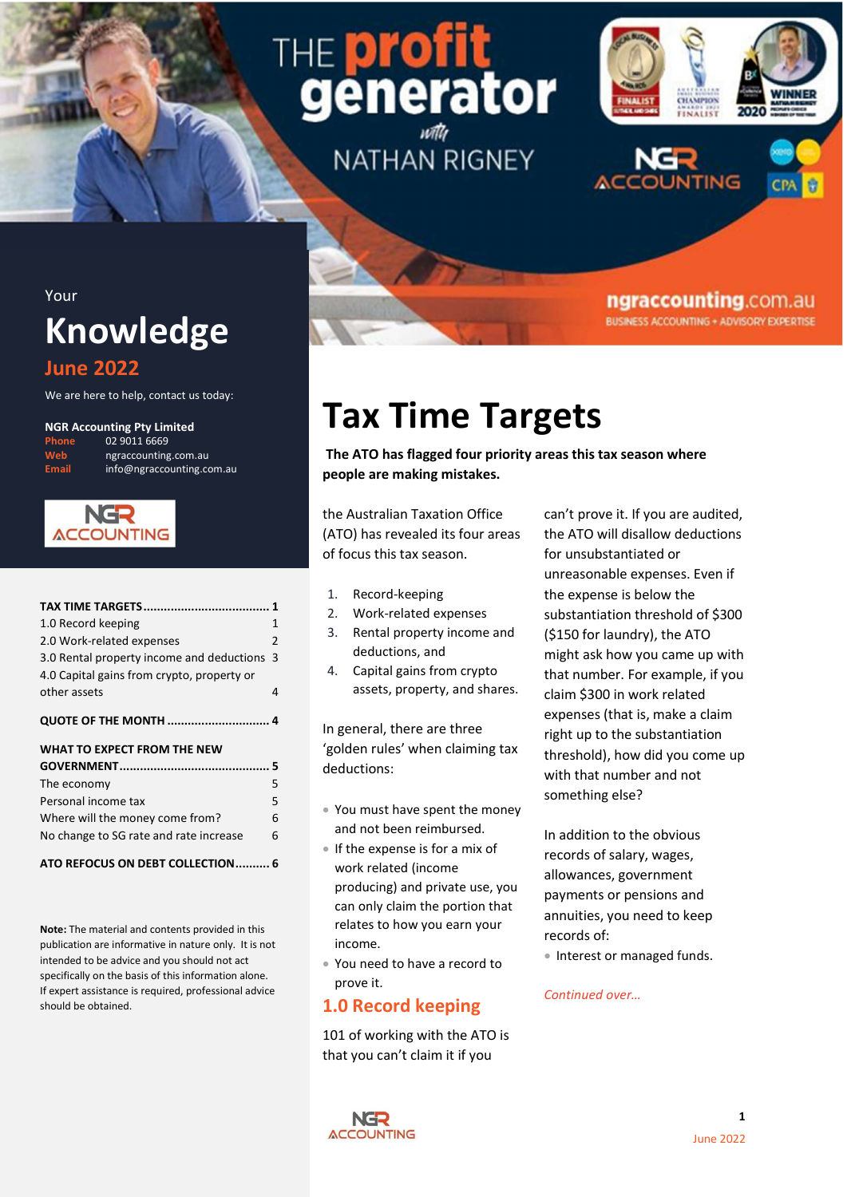# THE **prot** generator **NATHAN RIGNEY**



ngraccounting.com.au **BUSINESS ACCOUNTING + ADVISORY EXPERTISE** 





## Your **Knowledge**

## June 2022

We are here to help, contact us today:

#### NGR Accounting Pty Limited

02 9011 6669 ngraccounting.com.au info@ngraccounting.com.au



| 1.0 Record keeping                         | 1  |
|--------------------------------------------|----|
| 2.0 Work-related expenses                  | 2  |
| 3.0 Rental property income and deductions  | -3 |
| 4.0 Capital gains from crypto, property or |    |
| other assets                               | 4  |
| <b>QUOTE OF THE MONTH  4</b>               |    |
|                                            |    |
| WHAT TO EXPECT FROM THE NEW                |    |
|                                            |    |
| The economy                                | 5  |
| Personal income tax                        | 5  |
| Where will the money come from?            | 6  |
| No change to SG rate and rate increase     | 6  |

Note: The material and contents provided in this publication are informative in nature only. It is not intended to be advice and you should not act specifically on the basis of this information alone. If expert assistance is required, professional advice should be obtained.

## Tax Time Targets

The ATO has flagged four priority areas this tax season where people are making mistakes.

the Australian Taxation Office (ATO) has revealed its four areas of focus this tax season.

- 1. Record-keeping
- 2. Work-related expenses
- 3. Rental property income and deductions, and
- 4. Capital gains from crypto assets, property, and shares.

In general, there are three 'golden rules' when claiming tax deductions:

- You must have spent the money and not been reimbursed.
- If the expense is for a mix of work related (income producing) and private use, you can only claim the portion that relates to how you earn your income.
- You need to have a record to prove it.

## 1.0 Record keeping

101 of working with the ATO is that you can't claim it if you

can't prove it. If you are audited, the ATO will disallow deductions for unsubstantiated or unreasonable expenses. Even if the expense is below the substantiation threshold of \$300 (\$150 for laundry), the ATO might ask how you came up with that number. For example, if you claim \$300 in work related expenses (that is, make a claim right up to the substantiation threshold), how did you come up with that number and not something else?

In addition to the obvious records of salary, wages, allowances, government payments or pensions and annuities, you need to keep records of:

• Interest or managed funds.

### Continued over…

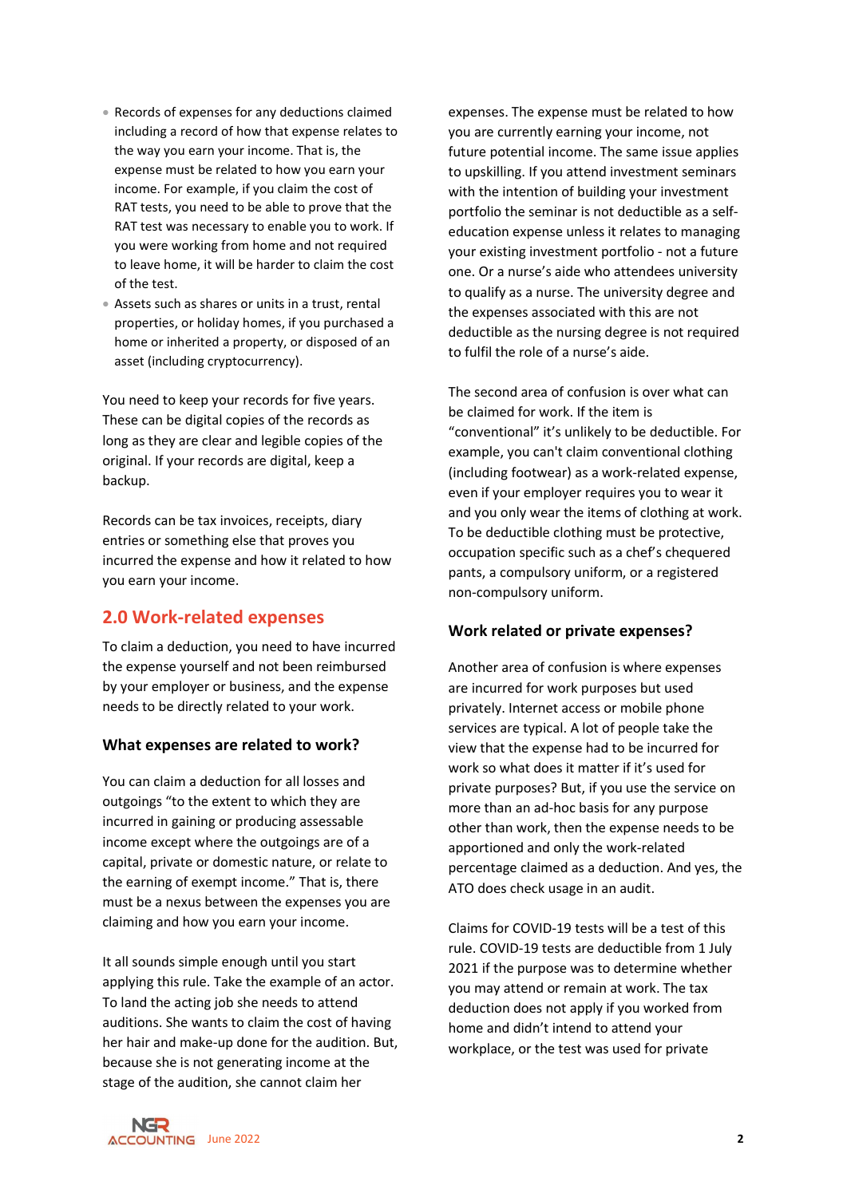- Records of expenses for any deductions claimed including a record of how that expense relates to the way you earn your income. That is, the expense must be related to how you earn your income. For example, if you claim the cost of RAT tests, you need to be able to prove that the RAT test was necessary to enable you to work. If you were working from home and not required to leave home, it will be harder to claim the cost of the test.
- Assets such as shares or units in a trust, rental properties, or holiday homes, if you purchased a home or inherited a property, or disposed of an asset (including cryptocurrency).

You need to keep your records for five years. These can be digital copies of the records as long as they are clear and legible copies of the original. If your records are digital, keep a backup.

Records can be tax invoices, receipts, diary entries or something else that proves you incurred the expense and how it related to how you earn your income.

## 2.0 Work-related expenses

To claim a deduction, you need to have incurred the expense yourself and not been reimbursed by your employer or business, and the expense needs to be directly related to your work.

#### What expenses are related to work?

You can claim a deduction for all losses and outgoings "to the extent to which they are incurred in gaining or producing assessable income except where the outgoings are of a capital, private or domestic nature, or relate to the earning of exempt income." That is, there must be a nexus between the expenses you are claiming and how you earn your income.

It all sounds simple enough until you start applying this rule. Take the example of an actor. To land the acting job she needs to attend auditions. She wants to claim the cost of having her hair and make-up done for the audition. But, because she is not generating income at the stage of the audition, she cannot claim her

expenses. The expense must be related to how you are currently earning your income, not future potential income. The same issue applies to upskilling. If you attend investment seminars with the intention of building your investment portfolio the seminar is not deductible as a selfeducation expense unless it relates to managing your existing investment portfolio - not a future one. Or a nurse's aide who attendees university to qualify as a nurse. The university degree and the expenses associated with this are not deductible as the nursing degree is not required to fulfil the role of a nurse's aide.

The second area of confusion is over what can be claimed for work. If the item is "conventional" it's unlikely to be deductible. For example, you can't claim conventional clothing (including footwear) as a work-related expense, even if your employer requires you to wear it and you only wear the items of clothing at work. To be deductible clothing must be protective, occupation specific such as a chef's chequered pants, a compulsory uniform, or a registered non-compulsory uniform.

#### Work related or private expenses?

Another area of confusion is where expenses are incurred for work purposes but used privately. Internet access or mobile phone services are typical. A lot of people take the view that the expense had to be incurred for work so what does it matter if it's used for private purposes? But, if you use the service on more than an ad-hoc basis for any purpose other than work, then the expense needs to be apportioned and only the work-related percentage claimed as a deduction. And yes, the ATO does check usage in an audit.

Claims for COVID-19 tests will be a test of this rule. COVID-19 tests are deductible from 1 July 2021 if the purpose was to determine whether you may attend or remain at work. The tax deduction does not apply if you worked from home and didn't intend to attend your workplace, or the test was used for private

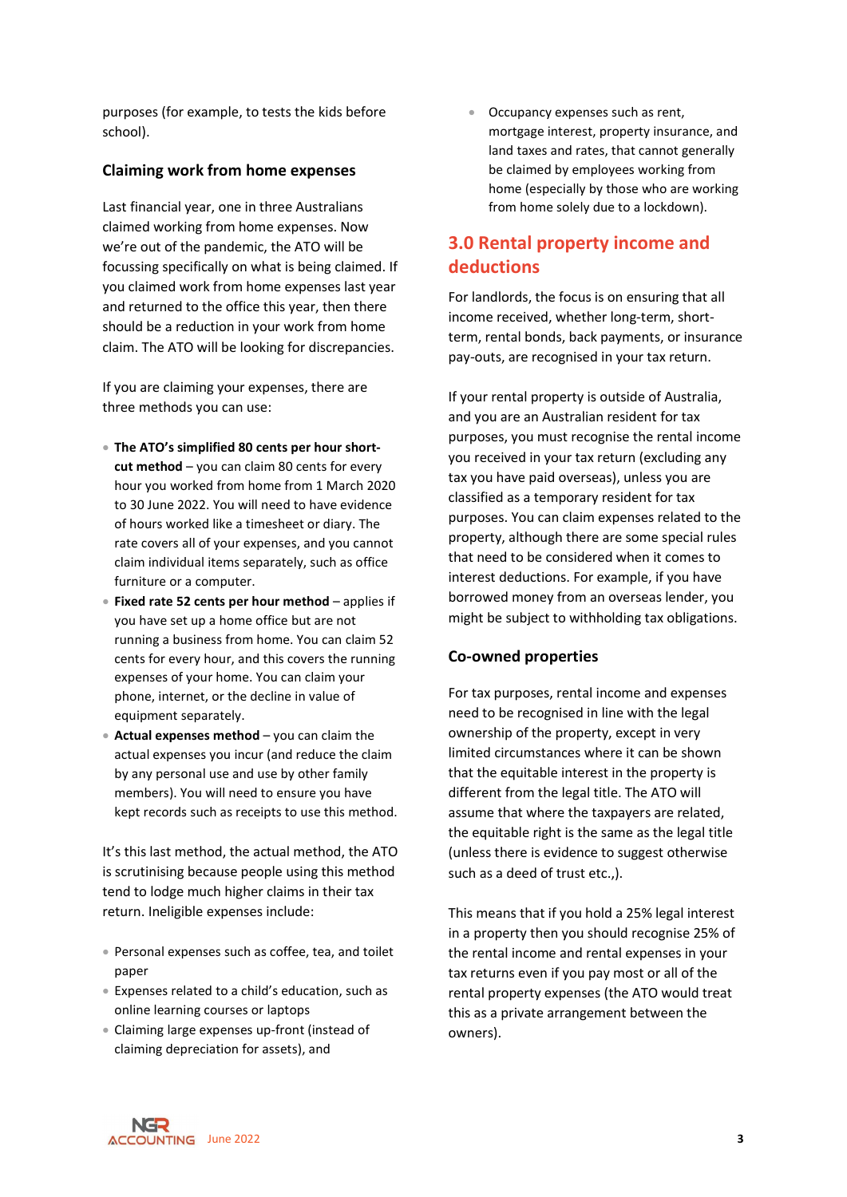purposes (for example, to tests the kids before school).

#### Claiming work from home expenses

Last financial year, one in three Australians claimed working from home expenses. Now we're out of the pandemic, the ATO will be focussing specifically on what is being claimed. If you claimed work from home expenses last year and returned to the office this year, then there should be a reduction in your work from home claim. The ATO will be looking for discrepancies.

If you are claiming your expenses, there are three methods you can use:

- The ATO's simplified 80 cents per hour shortcut method – you can claim 80 cents for every hour you worked from home from 1 March 2020 to 30 June 2022. You will need to have evidence of hours worked like a timesheet or diary. The rate covers all of your expenses, and you cannot claim individual items separately, such as office furniture or a computer.
- Fixed rate 52 cents per hour method applies if you have set up a home office but are not running a business from home. You can claim 52 cents for every hour, and this covers the running expenses of your home. You can claim your phone, internet, or the decline in value of equipment separately.
- Actual expenses method you can claim the actual expenses you incur (and reduce the claim by any personal use and use by other family members). You will need to ensure you have kept records such as receipts to use this method.

It's this last method, the actual method, the ATO is scrutinising because people using this method tend to lodge much higher claims in their tax return. Ineligible expenses include:

- Personal expenses such as coffee, tea, and toilet paper
- Expenses related to a child's education, such as online learning courses or laptops
- Claiming large expenses up-front (instead of claiming depreciation for assets), and

• Occupancy expenses such as rent, mortgage interest, property insurance, and land taxes and rates, that cannot generally be claimed by employees working from home (especially by those who are working from home solely due to a lockdown).

## 3.0 Rental property income and deductions

For landlords, the focus is on ensuring that all income received, whether long-term, shortterm, rental bonds, back payments, or insurance pay-outs, are recognised in your tax return.

If your rental property is outside of Australia, and you are an Australian resident for tax purposes, you must recognise the rental income you received in your tax return (excluding any tax you have paid overseas), unless you are classified as a temporary resident for tax purposes. You can claim expenses related to the property, although there are some special rules that need to be considered when it comes to interest deductions. For example, if you have borrowed money from an overseas lender, you might be subject to withholding tax obligations.

#### Co-owned properties

For tax purposes, rental income and expenses need to be recognised in line with the legal ownership of the property, except in very limited circumstances where it can be shown that the equitable interest in the property is different from the legal title. The ATO will assume that where the taxpayers are related, the equitable right is the same as the legal title (unless there is evidence to suggest otherwise such as a deed of trust etc.,).

This means that if you hold a 25% legal interest in a property then you should recognise 25% of the rental income and rental expenses in your tax returns even if you pay most or all of the rental property expenses (the ATO would treat this as a private arrangement between the owners).

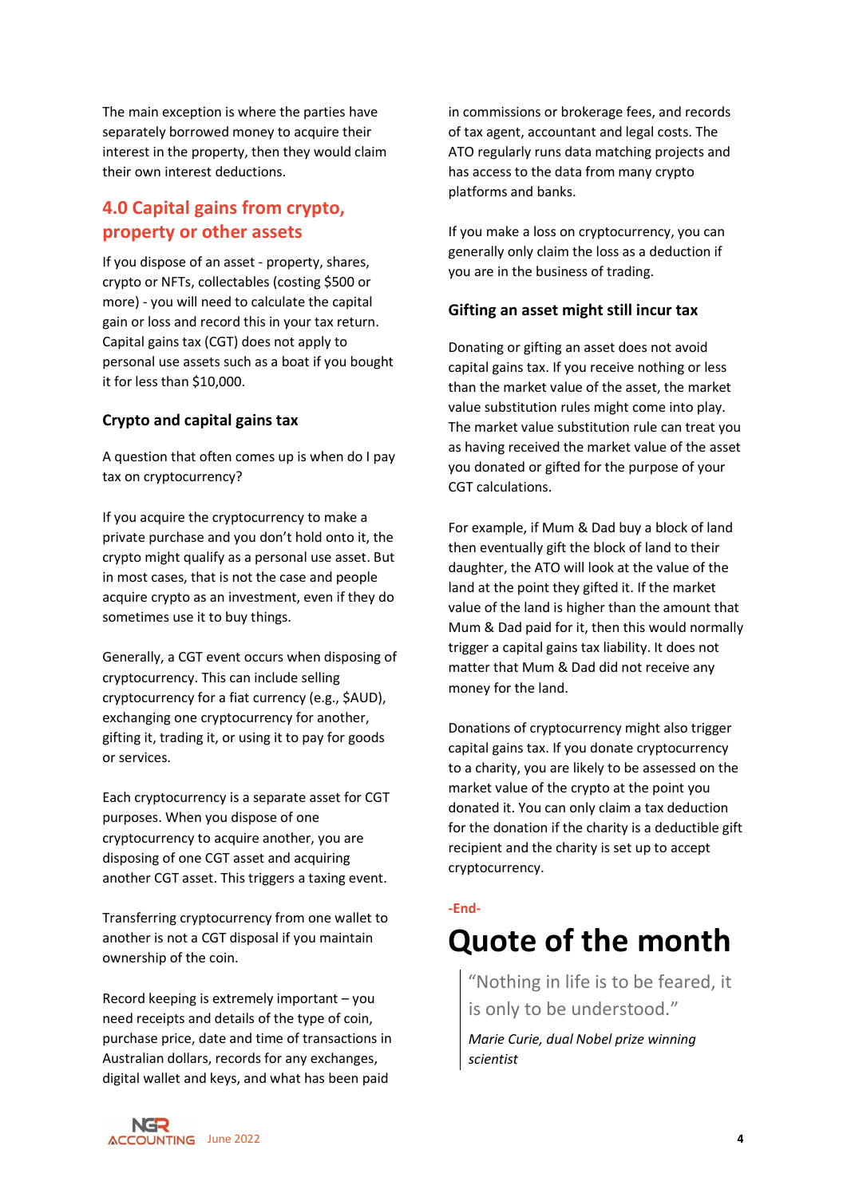The main exception is where the parties have separately borrowed money to acquire their interest in the property, then they would claim their own interest deductions.

## 4.0 Capital gains from crypto, property or other assets

If you dispose of an asset - property, shares, crypto or NFTs, collectables (costing \$500 or more) - you will need to calculate the capital gain or loss and record this in your tax return. Capital gains tax (CGT) does not apply to personal use assets such as a boat if you bought it for less than \$10,000.

### Crypto and capital gains tax

A question that often comes up is when do I pay tax on cryptocurrency?

If you acquire the cryptocurrency to make a private purchase and you don't hold onto it, the crypto might qualify as a personal use asset. But in most cases, that is not the case and people acquire crypto as an investment, even if they do sometimes use it to buy things.

Generally, a CGT event occurs when disposing of cryptocurrency. This can include selling cryptocurrency for a fiat currency (e.g., \$AUD), exchanging one cryptocurrency for another, gifting it, trading it, or using it to pay for goods or services.

Each cryptocurrency is a separate asset for CGT purposes. When you dispose of one cryptocurrency to acquire another, you are disposing of one CGT asset and acquiring another CGT asset. This triggers a taxing event.

Transferring cryptocurrency from one wallet to another is not a CGT disposal if you maintain ownership of the coin.

Record keeping is extremely important – you need receipts and details of the type of coin, purchase price, date and time of transactions in Australian dollars, records for any exchanges, digital wallet and keys, and what has been paid

in commissions or brokerage fees, and records of tax agent, accountant and legal costs. The ATO regularly runs data matching projects and has access to the data from many crypto platforms and banks.

If you make a loss on cryptocurrency, you can generally only claim the loss as a deduction if you are in the business of trading.

### Gifting an asset might still incur tax

Donating or gifting an asset does not avoid capital gains tax. If you receive nothing or less than the market value of the asset, the market value substitution rules might come into play. The market value substitution rule can treat you as having received the market value of the asset you donated or gifted for the purpose of your CGT calculations.

For example, if Mum & Dad buy a block of land then eventually gift the block of land to their daughter, the ATO will look at the value of the land at the point they gifted it. If the market value of the land is higher than the amount that Mum & Dad paid for it, then this would normally trigger a capital gains tax liability. It does not matter that Mum & Dad did not receive any money for the land.

Donations of cryptocurrency might also trigger capital gains tax. If you donate cryptocurrency to a charity, you are likely to be assessed on the market value of the crypto at the point you donated it. You can only claim a tax deduction for the donation if the charity is a deductible gift recipient and the charity is set up to accept cryptocurrency.

#### -End-

## Quote of the month

"Nothing in life is to be feared, it is only to be understood."

Marie Curie, dual Nobel prize winning scientist

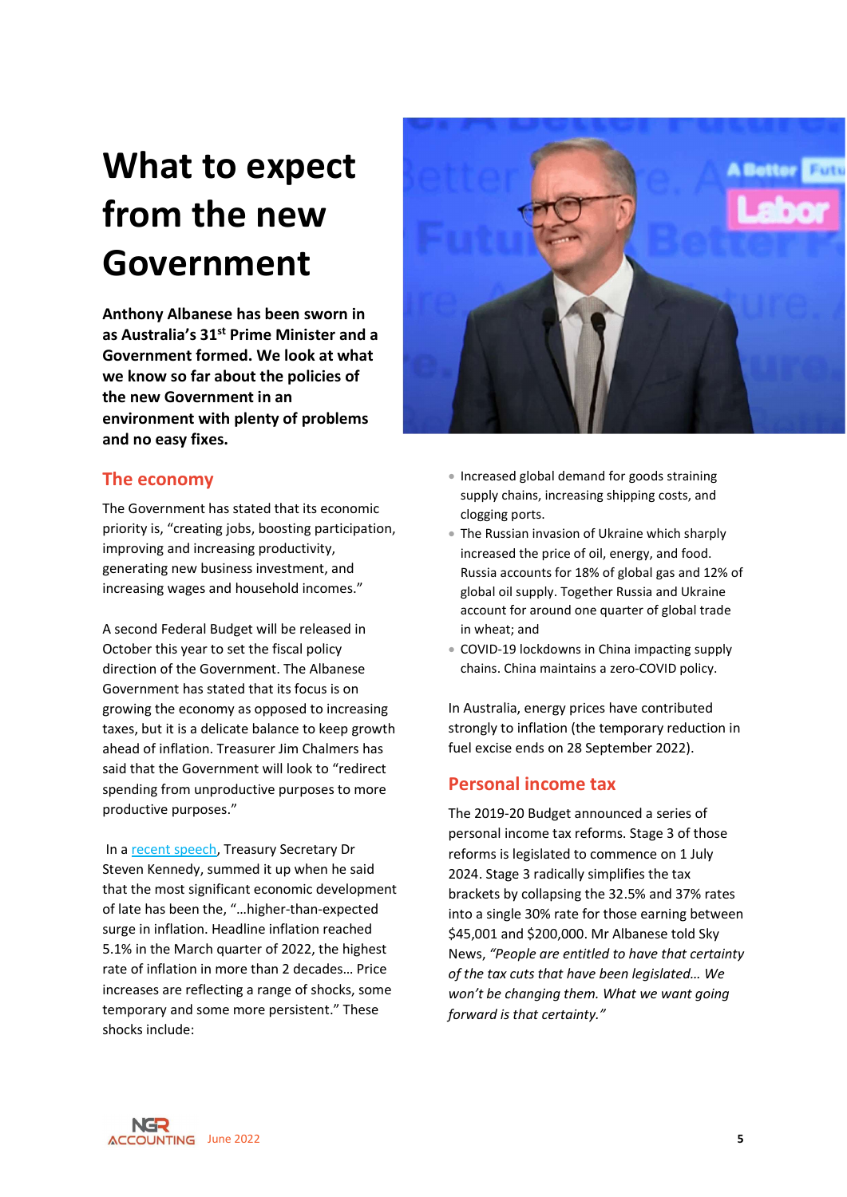# What to expect from the new Government

Anthony Albanese has been sworn in as Australia's 31st Prime Minister and a Government formed. We look at what we know so far about the policies of the new Government in an environment with plenty of problems and no easy fixes.

## The economy

The Government has stated that its economic priority is, "creating jobs, boosting participation, improving and increasing productivity, generating new business investment, and increasing wages and household incomes."

A second Federal Budget will be released in October this year to set the fiscal policy direction of the Government. The Albanese Government has stated that its focus is on growing the economy as opposed to increasing taxes, but it is a delicate balance to keep growth ahead of inflation. Treasurer Jim Chalmers has said that the Government will look to "redirect spending from unproductive purposes to more productive purposes."

 In a recent speech, Treasury Secretary Dr Steven Kennedy, summed it up when he said that the most significant economic development of late has been the, "…higher-than-expected surge in inflation. Headline inflation reached 5.1% in the March quarter of 2022, the highest rate of inflation in more than 2 decades… Price increases are reflecting a range of shocks, some temporary and some more persistent." These shocks include:



- Increased global demand for goods straining supply chains, increasing shipping costs, and clogging ports.
- The Russian invasion of Ukraine which sharply increased the price of oil, energy, and food. Russia accounts for 18% of global gas and 12% of global oil supply. Together Russia and Ukraine account for around one quarter of global trade in wheat; and
- COVID-19 lockdowns in China impacting supply chains. China maintains a zero-COVID policy.

In Australia, energy prices have contributed strongly to inflation (the temporary reduction in fuel excise ends on 28 September 2022).

### Personal income tax

The 2019-20 Budget announced a series of personal income tax reforms. Stage 3 of those reforms is legislated to commence on 1 July 2024. Stage 3 radically simplifies the tax brackets by collapsing the 32.5% and 37% rates into a single 30% rate for those earning between \$45,001 and \$200,000. Mr Albanese told Sky News, "People are entitled to have that certainty of the tax cuts that have been legislated… We won't be changing them. What we want going forward is that certainty."